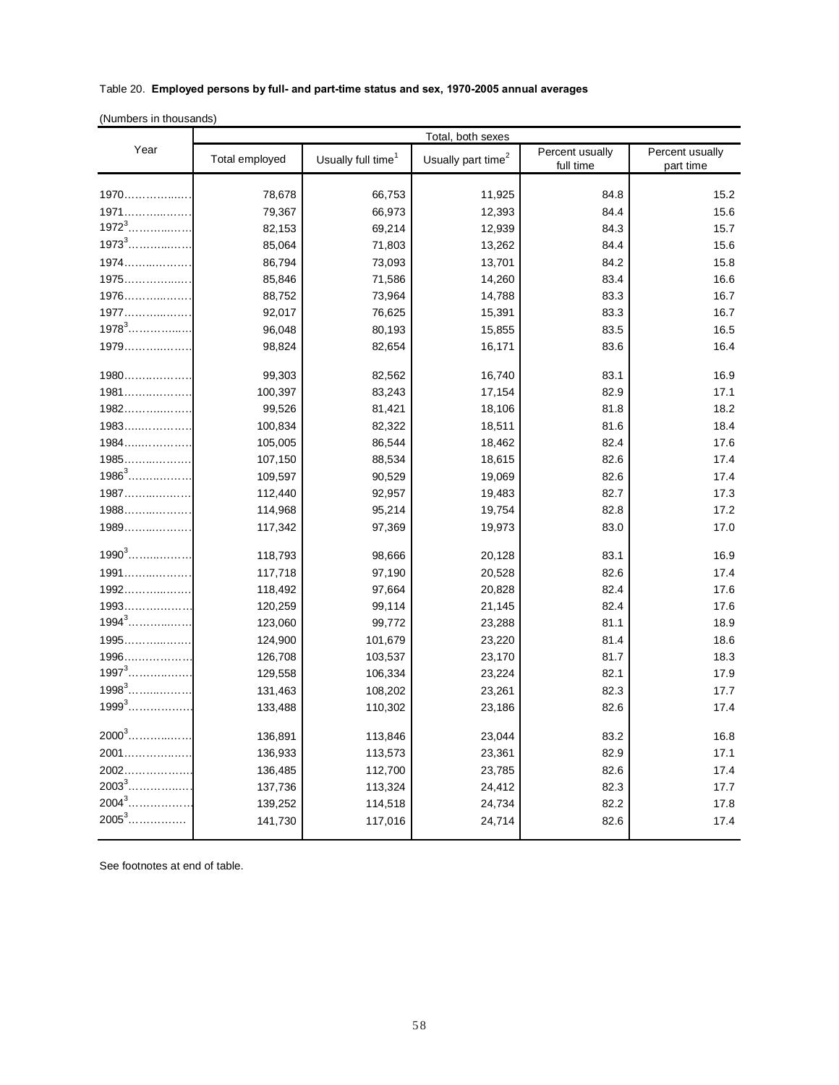## Table 20. **Employed persons by full- and part-time status and sex, 1970-2005 annual averages**

(Numbers in thousands)

|            |                | Total, both sexes              |                                |                              |                              |
|------------|----------------|--------------------------------|--------------------------------|------------------------------|------------------------------|
| Year       | Total employed | Usually full time <sup>1</sup> | Usually part time <sup>2</sup> | Percent usually<br>full time | Percent usually<br>part time |
|            |                |                                |                                |                              |                              |
| 1970       | 78,678         | 66,753                         | 11,925                         | 84.8                         | 15.2                         |
| 1971       | 79,367         | 66,973                         | 12,393                         | 84.4                         | 15.6                         |
|            | 82,153         | 69,214                         | 12,939                         | 84.3                         | 15.7                         |
| $1973^{3}$ | 85,064         | 71,803                         | 13,262                         | 84.4                         | 15.6                         |
| $1974$     | 86,794         | 73,093                         | 13,701                         | 84.2                         | 15.8                         |
| 1975       | 85,846         | 71,586                         | 14,260                         | 83.4                         | 16.6                         |
| $1976$     | 88,752         | 73,964                         | 14,788                         | 83.3                         | 16.7                         |
| $1977$     | 92,017         | 76,625                         | 15,391                         | 83.3                         | 16.7                         |
| $1978^3$   | 96,048         | 80,193                         | 15,855                         | 83.5                         | 16.5                         |
| 1979       | 98,824         | 82,654                         | 16,171                         | 83.6                         | 16.4                         |
| 1980       | 99,303         | 82,562                         | 16,740                         | 83.1                         | 16.9                         |
| 1981       | 100,397        | 83,243                         | 17,154                         | 82.9                         | 17.1                         |
| $1982$     | 99,526         | 81,421                         | 18,106                         | 81.8                         | 18.2                         |
| $1983$     | 100,834        | 82,322                         | 18,511                         | 81.6                         | 18.4                         |
| $1984$     | 105,005        | 86,544                         | 18,462                         | 82.4                         | 17.6                         |
| $1985$     | 107,150        | 88,534                         | 18,615                         | 82.6                         | 17.4                         |
| $1986^3$   | 109,597        | 90,529                         | 19,069                         | 82.6                         | 17.4                         |
| $1987$     | 112,440        | 92,957                         | 19,483                         | 82.7                         | 17.3                         |
| $1988$     | 114,968        | 95,214                         | 19,754                         | 82.8                         | 17.2                         |
| $1989$     | 117,342        | 97,369                         | 19,973                         | 83.0                         | 17.0                         |
| $1990^3$   | 118,793        | 98,666                         | 20,128                         | 83.1                         | 16.9                         |
| $1991$     | 117,718        | 97,190                         | 20,528                         | 82.6                         | 17.4                         |
| $1992$     | 118,492        | 97,664                         | 20,828                         | 82.4                         | 17.6                         |
| $1993$     | 120,259        | 99,114                         | 21,145                         | 82.4                         | 17.6                         |
| $1994^3$   | 123,060        | 99,772                         | 23,288                         | 81.1                         | 18.9                         |
| $1995$     | 124,900        | 101,679                        | 23,220                         | 81.4                         | 18.6                         |
| $1996$     | 126,708        | 103,537                        | 23,170                         | 81.7                         | 18.3                         |
| $1997^{3}$ | 129,558        | 106,334                        | 23,224                         | 82.1                         | 17.9                         |
| $1998^3$   | 131,463        | 108,202                        | 23,261                         | 82.3                         | 17.7                         |
| $1999^3$   | 133,488        | 110,302                        | 23,186                         | 82.6                         | 17.4                         |
| $2000^3$   | 136,891        | 113,846                        | 23,044                         | 83.2                         | 16.8                         |
| 2001       | 136,933        | 113,573                        | 23,361                         | 82.9                         | 17.1                         |
| $2002$     | 136,485        | 112,700                        | 23,785                         | 82.6                         | 17.4                         |
|            | 137,736        | 113,324                        | 24,412                         | 82.3                         | 17.7                         |
| $2004^3$   | 139,252        | 114,518                        | 24,734                         | 82.2                         | 17.8                         |
| $2005^3$   | 141,730        | 117,016                        | 24,714                         | 82.6                         | 17.4                         |

See footnotes at end of table.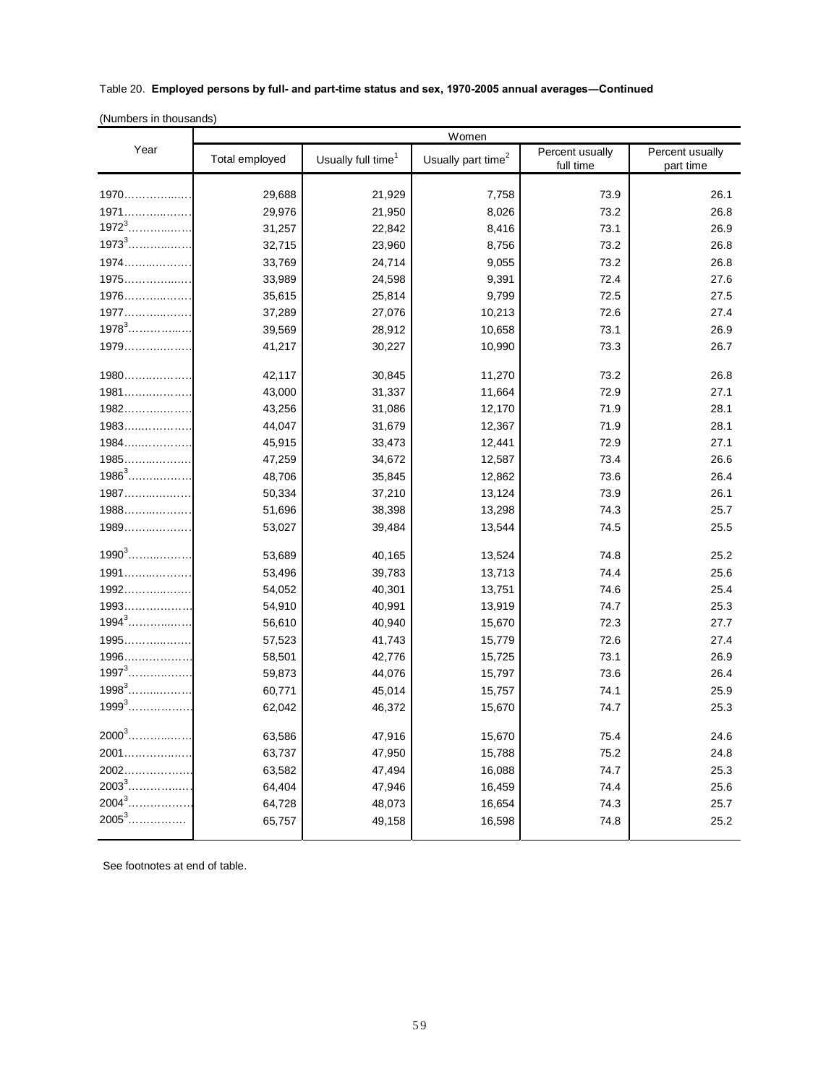## Table 20. **Employed persons by full- and part-time status and sex, 1970-2005 annual averages―Continued**

(Numbers in thousands)

|            | Women          |                                |                                |                              |                              |  |
|------------|----------------|--------------------------------|--------------------------------|------------------------------|------------------------------|--|
| Year       | Total employed | Usually full time <sup>1</sup> | Usually part time <sup>2</sup> | Percent usually<br>full time | Percent usually<br>part time |  |
|            |                |                                |                                |                              |                              |  |
| 1970       | 29,688         | 21,929                         | 7,758                          | 73.9                         | 26.1                         |  |
| 1971       | 29,976         | 21,950                         | 8,026                          | 73.2                         | 26.8                         |  |
| $1972^{3}$ | 31,257         | 22,842                         | 8,416                          | 73.1                         | 26.9                         |  |
| $1973^{3}$ | 32,715         | 23,960                         | 8,756                          | 73.2                         | 26.8                         |  |
| $1974$     | 33,769         | 24,714                         | 9,055                          | 73.2                         | 26.8                         |  |
| $1975$     | 33,989         | 24,598                         | 9,391                          | 72.4                         | 27.6                         |  |
| $1976$     | 35,615         | 25,814                         | 9,799                          | 72.5                         | 27.5                         |  |
| $1977$     | 37,289         | 27,076                         | 10,213                         | 72.6                         | 27.4                         |  |
| $1978^3$   | 39,569         | 28,912                         | 10,658                         | 73.1                         | 26.9                         |  |
| 1979       | 41,217         | 30,227                         | 10,990                         | 73.3                         | 26.7                         |  |
| 1980       | 42,117         | 30,845                         | 11,270                         | 73.2                         | 26.8                         |  |
| $1981$     | 43,000         | 31,337                         | 11,664                         | 72.9                         | 27.1                         |  |
| $1982$     | 43,256         | 31,086                         | 12,170                         | 71.9                         | 28.1                         |  |
| $1983$     | 44,047         | 31,679                         | 12,367                         | 71.9                         | 28.1                         |  |
| $1984$     | 45,915         | 33,473                         | 12,441                         | 72.9                         | 27.1                         |  |
| $1985$     | 47,259         | 34,672                         | 12,587                         | 73.4                         | 26.6                         |  |
| $1986^3$   | 48,706         | 35,845                         | 12,862                         | 73.6                         | 26.4                         |  |
| $1987$     | 50,334         | 37,210                         | 13,124                         | 73.9                         | 26.1                         |  |
| 1988       | 51,696         | 38,398                         | 13,298                         | 74.3                         | 25.7                         |  |
| $1989$     | 53,027         | 39,484                         | 13,544                         | 74.5                         | 25.5                         |  |
| $1990^3$   | 53,689         | 40,165                         | 13,524                         | 74.8                         | 25.2                         |  |
| $1991$     | 53,496         | 39,783                         | 13,713                         | 74.4                         | 25.6                         |  |
| $1992$     | 54,052         | 40,301                         | 13,751                         | 74.6                         | 25.4                         |  |
| $1993$     | 54,910         | 40,991                         | 13,919                         | 74.7                         | 25.3                         |  |
| $1994^3$   | 56,610         | 40,940                         | 15,670                         | 72.3                         | 27.7                         |  |
| $1995$     | 57,523         | 41,743                         | 15,779                         | 72.6                         | 27.4                         |  |
| $1996$     | 58,501         | 42,776                         | 15,725                         | 73.1                         | 26.9                         |  |
| $1997^3$   | 59,873         | 44,076                         | 15,797                         | 73.6                         | 26.4                         |  |
| $1998^3$   | 60,771         | 45,014                         | 15,757                         | 74.1                         | 25.9                         |  |
| $1999^3$   | 62,042         | 46,372                         | 15,670                         | 74.7                         | 25.3                         |  |
| $2000^3$   | 63,586         | 47,916                         | 15,670                         | 75.4                         | 24.6                         |  |
| 2001       | 63,737         | 47,950                         | 15,788                         | 75.2                         | 24.8                         |  |
| $2002$     | 63,582         | 47,494                         | 16,088                         | 74.7                         | 25.3                         |  |
|            | 64,404         | 47,946                         | 16,459                         | 74.4                         | 25.6                         |  |
| $2004^3$   | 64,728         | 48,073                         | 16,654                         | 74.3                         | 25.7                         |  |
| $2005^3$   | 65,757         | 49,158                         | 16,598                         | 74.8                         | 25.2                         |  |
|            |                |                                |                                |                              |                              |  |

See footnotes at end of table.